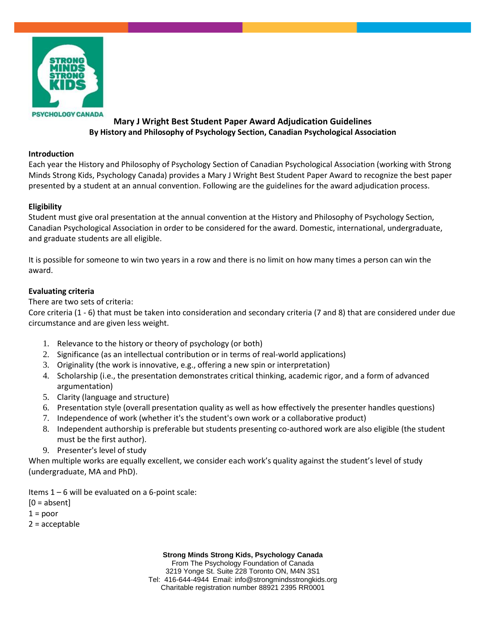

## **Mary J Wright Best Student Paper Award Adjudication Guidelines By History and Philosophy of Psychology Section, Canadian Psychological Association**

## **Introduction**

Each year the History and Philosophy of Psychology Section of Canadian Psychological Association (working with Strong Minds Strong Kids, Psychology Canada) provides a Mary J Wright Best Student Paper Award to recognize the best paper presented by a student at an annual convention. Following are the guidelines for the award adjudication process.

## **Eligibility**

Student must give oral presentation at the annual convention at the History and Philosophy of Psychology Section, Canadian Psychological Association in order to be considered for the award. Domestic, international, undergraduate, and graduate students are all eligible.

It is possible for someone to win two years in a row and there is no limit on how many times a person can win the award.

## **Evaluating criteria**

There are two sets of criteria:

Core criteria (1 - 6) that must be taken into consideration and secondary criteria (7 and 8) that are considered under due circumstance and are given less weight.

- 1. Relevance to the history or theory of psychology (or both)
- 2. Significance (as an intellectual contribution or in terms of real-world applications)
- 3. Originality (the work is innovative, e.g., offering a new spin or interpretation)
- 4. Scholarship (i.e., the presentation demonstrates critical thinking, academic rigor, and a form of advanced argumentation)
- 5. Clarity (language and structure)
- 6. Presentation style (overall presentation quality as well as how effectively the presenter handles questions)
- 7. Independence of work (whether it's the student's own work or a collaborative product)
- 8. Independent authorship is preferable but students presenting co-authored work are also eligible (the student must be the first author).
- 9. Presenter's level of study

When multiple works are equally excellent, we consider each work's quality against the student's level of study (undergraduate, MA and PhD).

Items  $1 - 6$  will be evaluated on a 6-point scale:

 $[0 = absent]$ 

 $1 = poor$ 

2 = acceptable

**Strong Minds Strong Kids, Psychology Canada**

From The Psychology Foundation of Canada 3219 Yonge St. Suite 228 Toronto ON, M4N 3S1 Tel: 416-644-4944 Email: info@strongmindsstrongkids.org Charitable registration number 88921 2395 RR0001